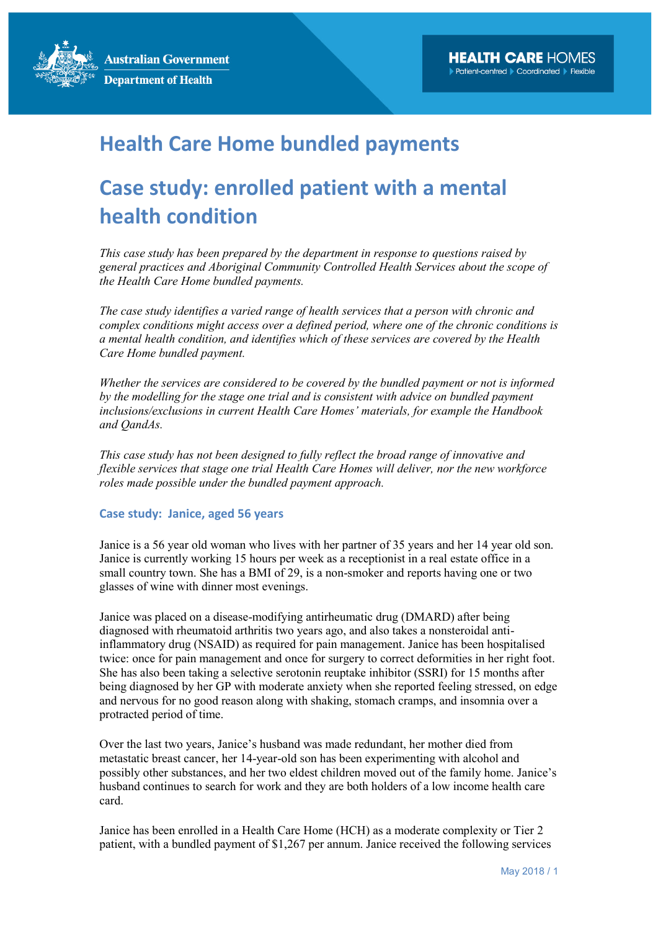## **Health Care Home bundled payments**

## **Case study: enrolled patient with a mental health condition**

*This case study has been prepared by the department in response to questions raised by general practices and Aboriginal Community Controlled Health Services about the scope of the Health Care Home bundled payments.* 

*The case study identifies a varied range of health services that a person with chronic and complex conditions might access over a defined period, where one of the chronic conditions is a mental health condition, and identifies which of these services are covered by the Health Care Home bundled payment.*

*Whether the services are considered to be covered by the bundled payment or not is informed by the modelling for the stage one trial and is consistent with advice on bundled payment inclusions/exclusions in current Health Care Homes' materials, for example the Handbook and QandAs.*

*This case study has not been designed to fully reflect the broad range of innovative and flexible services that stage one trial Health Care Homes will deliver, nor the new workforce roles made possible under the bundled payment approach.*

## **Case study: Janice, aged 56 years**

Janice is a 56 year old woman who lives with her partner of 35 years and her 14 year old son. Janice is currently working 15 hours per week as a receptionist in a real estate office in a small country town. She has a BMI of 29, is a non-smoker and reports having one or two glasses of wine with dinner most evenings.

Janice was placed on a disease-modifying antirheumatic drug (DMARD) after being diagnosed with rheumatoid arthritis two years ago, and also takes a nonsteroidal antiinflammatory drug (NSAID) as required for pain management. Janice has been hospitalised twice: once for pain management and once for surgery to correct deformities in her right foot. She has also been taking a selective serotonin reuptake inhibitor (SSRI) for 15 months after being diagnosed by her GP with moderate anxiety when she reported feeling stressed, on edge and nervous for no good reason along with shaking, stomach cramps, and insomnia over a protracted period of time.

Over the last two years, Janice's husband was made redundant, her mother died from metastatic breast cancer, her 14-year-old son has been experimenting with alcohol and possibly other substances, and her two eldest children moved out of the family home. Janice's husband continues to search for work and they are both holders of a low income health care card.

Janice has been enrolled in a Health Care Home (HCH) as a moderate complexity or Tier 2 patient, with a bundled payment of \$1,267 per annum. Janice received the following services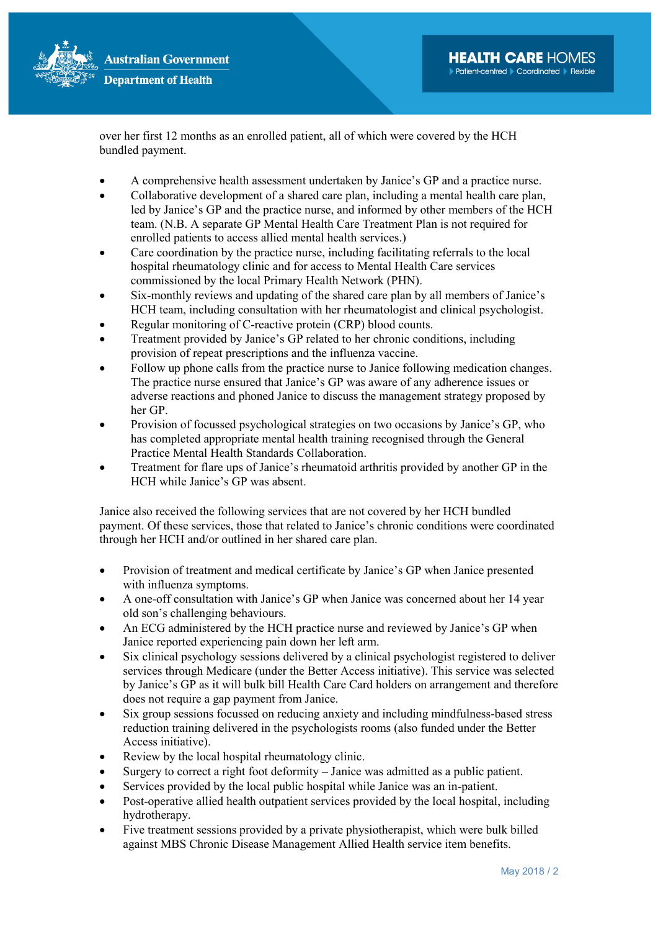

over her first 12 months as an enrolled patient, all of which were covered by the HCH bundled payment.

- A comprehensive health assessment undertaken by Janice's GP and a practice nurse.
- Collaborative development of a shared care plan, including a mental health care plan, led by Janice's GP and the practice nurse, and informed by other members of the HCH team. (N.B. A separate GP Mental Health Care Treatment Plan is not required for enrolled patients to access allied mental health services.)
- Care coordination by the practice nurse, including facilitating referrals to the local hospital rheumatology clinic and for access to Mental Health Care services commissioned by the local Primary Health Network (PHN).
- Six-monthly reviews and updating of the shared care plan by all members of Janice's HCH team, including consultation with her rheumatologist and clinical psychologist.
- Regular monitoring of C-reactive protein (CRP) blood counts.
- Treatment provided by Janice's GP related to her chronic conditions, including provision of repeat prescriptions and the influenza vaccine.
- Follow up phone calls from the practice nurse to Janice following medication changes. The practice nurse ensured that Janice's GP was aware of any adherence issues or adverse reactions and phoned Janice to discuss the management strategy proposed by her GP.
- Provision of focussed psychological strategies on two occasions by Janice's GP, who has completed appropriate mental health training recognised through the General Practice Mental Health Standards Collaboration.
- Treatment for flare ups of Janice's rheumatoid arthritis provided by another GP in the HCH while Janice's GP was absent.

Janice also received the following services that are not covered by her HCH bundled payment. Of these services, those that related to Janice's chronic conditions were coordinated through her HCH and/or outlined in her shared care plan.

- Provision of treatment and medical certificate by Janice's GP when Janice presented with influenza symptoms.
- A one-off consultation with Janice's GP when Janice was concerned about her 14 year old son's challenging behaviours.
- An ECG administered by the HCH practice nurse and reviewed by Janice's GP when Janice reported experiencing pain down her left arm.
- Six clinical psychology sessions delivered by a clinical psychologist registered to deliver services through Medicare (under the Better Access initiative). This service was selected by Janice's GP as it will bulk bill Health Care Card holders on arrangement and therefore does not require a gap payment from Janice.
- Six group sessions focussed on reducing anxiety and including mindfulness-based stress reduction training delivered in the psychologists rooms (also funded under the Better Access initiative).
- Review by the local hospital rheumatology clinic.
- Surgery to correct a right foot deformity Janice was admitted as a public patient.
- Services provided by the local public hospital while Janice was an in-patient.
- Post-operative allied health outpatient services provided by the local hospital, including hydrotherapy.
- Five treatment sessions provided by a private physiotherapist, which were bulk billed against MBS Chronic Disease Management Allied Health service item benefits.